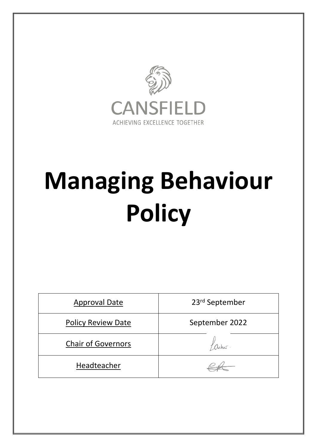

# **Managing Behaviour Policy**

| <b>Approval Date</b>      | 23rd September |
|---------------------------|----------------|
| <b>Policy Review Date</b> | September 2022 |
| <b>Chair of Governors</b> |                |
| Headteacher               |                |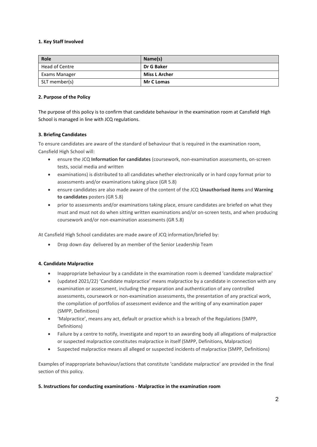#### **1. Key Staff Involved**

| Role           | Name(s)              |
|----------------|----------------------|
| Head of Centre | Dr G Baker           |
| Exams Manager  | <b>Miss L Archer</b> |
| SLT member(s)  | <b>Mr C Lomas</b>    |

#### **2. Purpose of the Policy**

The purpose of this policy is to confirm that candidate behaviour in the examination room at Cansfield High School is managed in line with JCQ regulations.

#### **3. Briefing Candidates**

To ensure candidates are aware of the standard of behaviour that is required in the examination room, Cansfield High School will:

- ensure the JCQ **Information for candidates** (coursework, non-examination assessments, on-screen tests, social media and written
- examinations) is distributed to all candidates whether electronically or in hard copy format prior to assessments and/or examinations taking place (GR 5.8)
- ensure candidates are also made aware of the content of the JCQ **Unauthorised items** and **Warning to candidates** posters (GR 5.8)
- prior to assessments and/or examinations taking place, ensure candidates are briefed on what they must and must not do when sitting written examinations and/or on-screen tests, and when producing coursework and/or non-examination assessments (GR 5.8)

At Cansfield High School candidates are made aware of JCQ information/briefed by:

Drop down day delivered by an member of the Senior Leadership Team

#### **4. Candidate Malpractice**

- Inappropriate behaviour by a candidate in the examination room is deemed 'candidate malpractice'
- (updated 2021/22) 'Candidate malpractice' means malpractice by a candidate in connection with any examination or assessment, including the preparation and authentication of any controlled assessments, coursework or non-examination assessments, the presentation of any practical work, the compilation of portfolios of assessment evidence and the writing of any examination paper (SMPP, Definitions)
- 'Malpractice', means any act, default or practice which is a breach of the Regulations (SMPP, Definitions)
- Failure by a centre to notify, investigate and report to an awarding body all allegations of malpractice or suspected malpractice constitutes malpractice in itself (SMPP, Definitions, Malpractice)
- Suspected malpractice means all alleged or suspected incidents of malpractice (SMPP, Definitions)

Examples of inappropriate behaviour/actions that constitute 'candidate malpractice' are provided in the final section of this policy.

#### **5. Instructions for conducting examinations - Malpractice in the examination room**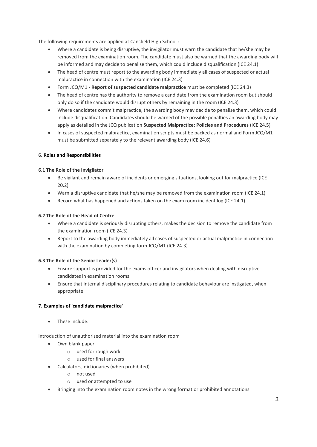The following requirements are applied at Cansfield High School :

- Where a candidate is being disruptive, the invigilator must warn the candidate that he/she may be removed from the examination room. The candidate must also be warned that the awarding body will be informed and may decide to penalise them, which could include disqualification (ICE 24.1)
- The head of centre must report to the awarding body immediately all cases of suspected or actual malpractice in connection with the examination (ICE 24.3)
- Form JCQ/M1 **Report of suspected candidate malpractice** must be completed (ICE 24.3)
- The head of centre has the authority to remove a candidate from the examination room but should only do so if the candidate would disrupt others by remaining in the room (ICE 24.3)
- Where candidates commit malpractice, the awarding body may decide to penalise them, which could include disqualification. Candidates should be warned of the possible penalties an awarding body may apply as detailed in the JCQ publication **Suspected Malpractice: Policies and Procedures** (ICE 24.5)
- In cases of suspected malpractice, examination scripts must be packed as normal and Form JCQ/M1 must be submitted separately to the relevant awarding body (ICE 24.6)

## **6. Roles and Responsibilities**

#### **6.1 The Role of the Invigilator**

- Be vigilant and remain aware of incidents or emerging situations, looking out for malpractice (ICE 20.2)
- Warn a disruptive candidate that he/she may be removed from the examination room (ICE 24.1)
- Record what has happened and actions taken on the exam room incident log (ICE 24.1)

#### **6.2 The Role of the Head of Centre**

- Where a candidate is seriously disrupting others, makes the decision to remove the candidate from the examination room (ICE 24.3)
- Report to the awarding body immediately all cases of suspected or actual malpractice in connection with the examination by completing form JCQ/M1 (ICE 24.3)

#### **6.3 The Role of the Senior Leader(s)**

- Ensure support is provided for the exams officer and invigilators when dealing with disruptive candidates in examination rooms
- Ensure that internal disciplinary procedures relating to candidate behaviour are instigated, when appropriate

## **7. Examples of 'candidate malpractice'**

• These include:

Introduction of unauthorised material into the examination room

- Own blank paper
	- o used for rough work
	- o used for final answers
- Calculators, dictionaries (when prohibited)
	- o not used
	- o used or attempted to use
- Bringing into the examination room notes in the wrong format or prohibited annotations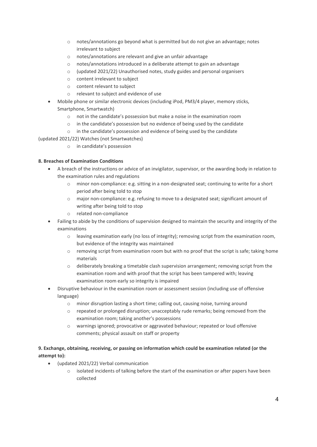- o notes/annotations go beyond what is permitted but do not give an advantage; notes irrelevant to subject
- o notes/annotations are relevant and give an unfair advantage
- o notes/annotations introduced in a deliberate attempt to gain an advantage
- $\circ$  (updated 2021/22) Unauthorised notes, study guides and personal organisers
- o content irrelevant to subject
- o content relevant to subject
- o relevant to subject and evidence of use
- Mobile phone or similar electronic devices (including iPod, PM3/4 player, memory sticks, Smartphone, Smartwatch)
	- o not in the candidate's possession but make a noise in the examination room
	- o in the candidate's possession but no evidence of being used by the candidate
	- o in the candidate's possession and evidence of being used by the candidate
- (updated 2021/22) Watches (not Smartwatches)
	- o in candidate's possession

## **8. Breaches of Examination Conditions**

- A breach of the instructions or advice of an invigilator, supervisor, or the awarding body in relation to the examination rules and regulations
	- o minor non-compliance: e.g. sitting in a non-designated seat; continuing to write for a short period after being told to stop
	- o major non-compliance: e.g. refusing to move to a designated seat; significant amount of writing after being told to stop
	- o related non-compliance
- Failing to abide by the conditions of supervision designed to maintain the security and integrity of the examinations
	- o leaving examination early (no loss of integrity); removing script from the examination room, but evidence of the integrity was maintained
	- $\circ$  removing script from examination room but with no proof that the script is safe; taking home materials
	- o deliberately breaking a timetable clash supervision arrangement; removing script from the examination room and with proof that the script has been tampered with; leaving examination room early so integrity is impaired
- Disruptive behaviour in the examination room or assessment session (including use of offensive language)
	- o minor disruption lasting a short time; calling out, causing noise, turning around
	- $\circ$  repeated or prolonged disruption; unacceptably rude remarks; being removed from the examination room; taking another's possessions
	- o warnings ignored; provocative or aggravated behaviour; repeated or loud offensive comments; physical assault on staff or property

# **9. Exchange, obtaining, receiving, or passing on information which could be examination related (or the attempt to):**

- (updated 2021/22) Verbal communication
	- $\circ$  isolated incidents of talking before the start of the examination or after papers have been collected